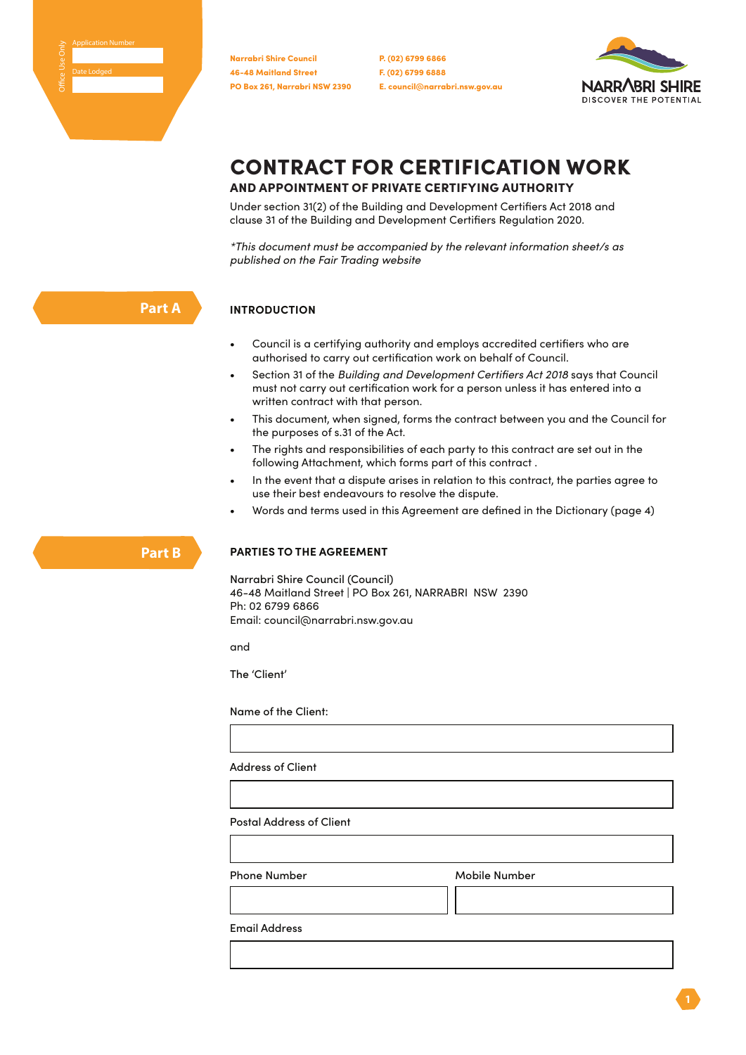46-48 Maitland Street PO Box 261, Narrabri NSW 2390 Narrabri Shire Council

P. (02) 6799 6866 F. (02) 6799 6888 E. council@narrabri.nsw.gov.au



# CONTRACT FOR CERTIFICATION WORK

# AND APPOINTMENT OF PRIVATE CERTIFYING AUTHORITY

Under section 31(2) of the Building and Development Certifiers Act 2018 and clause 31 of the Building and Development Certifiers Regulation 2020.

*\*This document must be accompanied by the relevant information sheet/s as published on the Fair Trading website*

# **Part A**

**Part B**

#### **INTRODUCTION**

- Council is a certifying authority and employs accredited certifiers who are authorised to carry out certification work on behalf of Council.
- Section 31 of the *Building and Development Certifiers Act 2018* says that Council must not carry out certification work for a person unless it has entered into a written contract with that person.
- This document, when signed, forms the contract between you and the Council for the purposes of s.31 of the Act.
- The rights and responsibilities of each party to this contract are set out in the following Attachment, which forms part of this contract .
- In the event that a dispute arises in relation to this contract, the parties agree to use their best endeavours to resolve the dispute.
- Words and terms used in this Agreement are defined in the Dictionary (page 4)

# **PARTIES TO THE AGREEMENT**

Narrabri Shire Council (Council) 46-48 Maitland Street | PO Box 261, NARRABRI NSW 2390 Ph: 02 6799 6866 Email: council@narrabri.nsw.gov.au

and

The 'Client'

Name of the Client:

Address of Client

Postal Address of Client

Phone Number Mobile Number

Email Address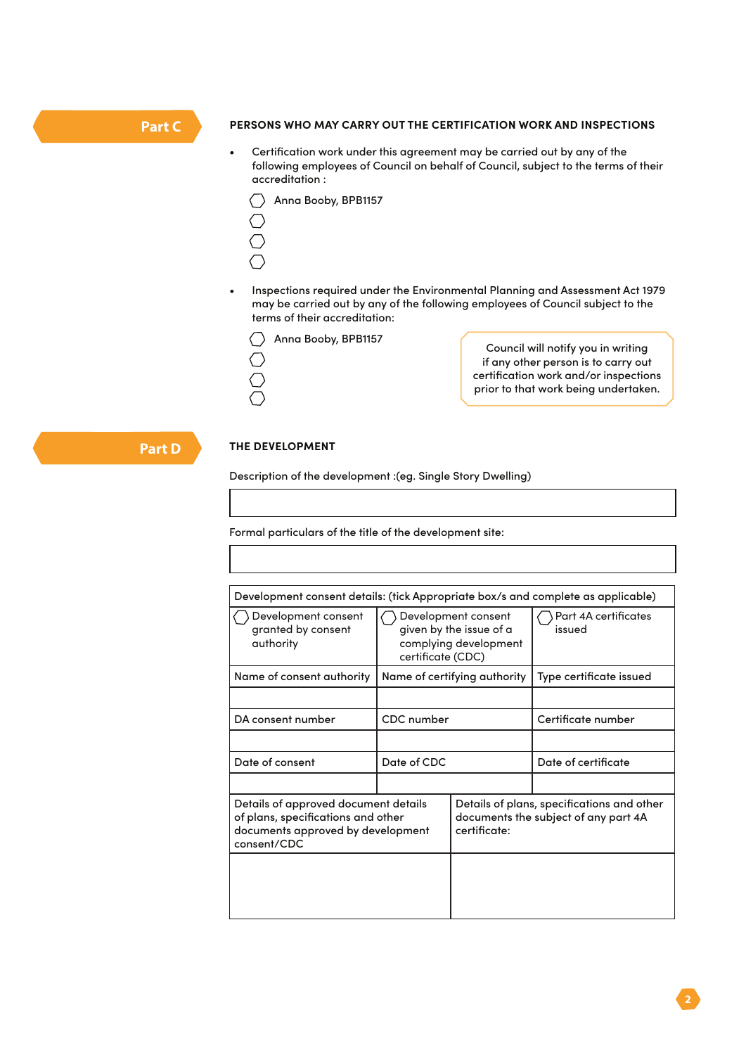# **Part C**

#### **PERSONS WHO MAY CARRY OUT THE CERTIFICATION WORK AND INSPECTIONS**

- Certification work under this agreement may be carried out by any of the following employees of Council on behalf of Council, subject to the terms of their accreditation :
	- Anna Booby, BPB1157  $\bigcirc$  $\bigcirc$  $\bigcirc$
	- $\bigcirc$
- Inspections required under the Environmental Planning and Assessment Act 1979 may be carried out by any of the following employees of Council subject to the terms of their accreditation:
	- Anna Booby, BPB1157
	- ◯

Council will notify you in writing if any other person is to carry out certification work and/or inspections prior to that work being undertaken.

**Part D**

#### **THE DEVELOPMENT**

Description of the development :(eg. Single Story Dwelling)

Formal particulars of the title of the development site:

| Development consent details: (tick Appropriate box/s and complete as applicable)                                               |                                                                                              |                                                                                                    |                                |  |  |
|--------------------------------------------------------------------------------------------------------------------------------|----------------------------------------------------------------------------------------------|----------------------------------------------------------------------------------------------------|--------------------------------|--|--|
| Development consent<br>granted by consent<br>authority                                                                         | Development consent<br>given by the issue of a<br>complying development<br>certificate (CDC) |                                                                                                    | Part 4A certificates<br>issued |  |  |
| Name of consent authority                                                                                                      | Name of certifying authority                                                                 |                                                                                                    | Type certificate issued        |  |  |
|                                                                                                                                |                                                                                              |                                                                                                    |                                |  |  |
| DA consent number                                                                                                              | CDC number                                                                                   |                                                                                                    | Certificate number             |  |  |
|                                                                                                                                |                                                                                              |                                                                                                    |                                |  |  |
| Date of consent                                                                                                                | Date of CDC                                                                                  |                                                                                                    | Date of certificate            |  |  |
|                                                                                                                                |                                                                                              |                                                                                                    |                                |  |  |
| Details of approved document details<br>of plans, specifications and other<br>documents approved by development<br>consent/CDC |                                                                                              | Details of plans, specifications and other<br>documents the subject of any part 4A<br>certificate: |                                |  |  |
|                                                                                                                                |                                                                                              |                                                                                                    |                                |  |  |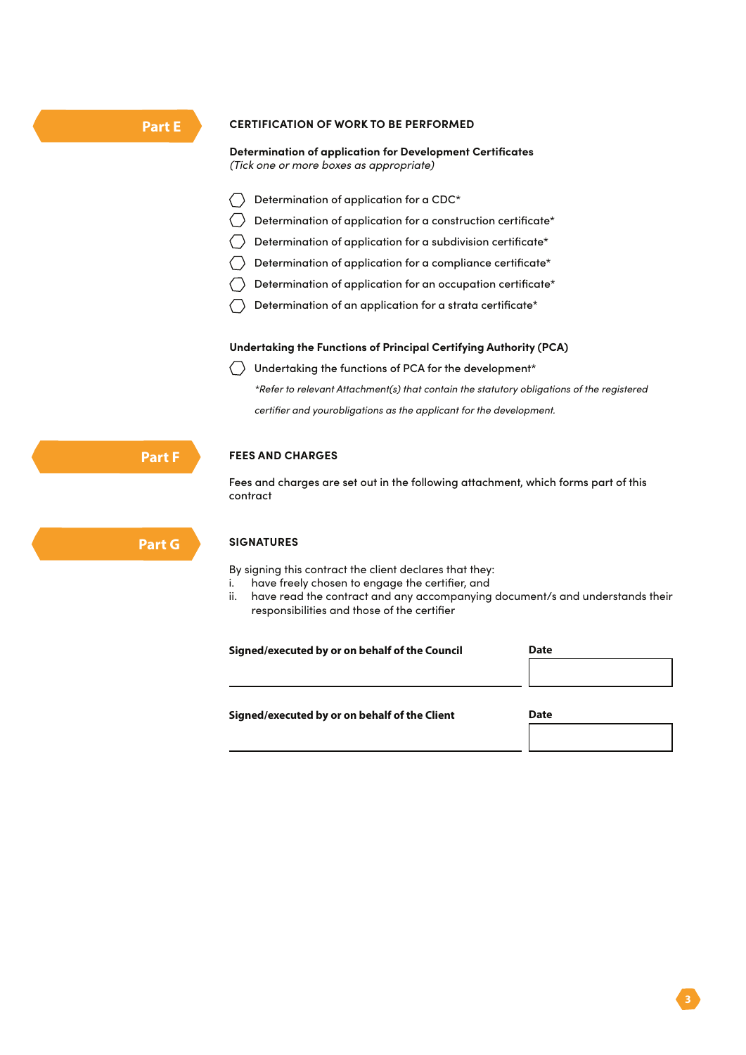#### **CERTIFICATION OF WORK TO BE PERFORMED**

#### **Determination of application for Development Certificates**  *(Tick one or more boxes as appropriate)*

- $\langle \rangle$  Determination of application for a CDC\*
- $\langle \rangle$  Determination of application for a construction certificate\*
- $\langle \rangle$  Determination of application for a subdivision certificate\*
- $\langle \rangle$  Determination of application for a compliance certificate\*
- $\langle \rangle$  Determination of application for an occupation certificate\*
- Determination of an application for a strata certificate\*

#### **Undertaking the Functions of Principal Certifying Authority (PCA)**

 $\langle \rangle$  Undertaking the functions of PCA for the development\* *\*Refer to relevant Attachment(s) that contain the statutory obligations of the registered certifier and yourobligations as the applicant for the development.*

**FEES AND CHARGES**

Fees and charges are set out in the following attachment, which forms part of this contract

#### **SIGNATURES**

By signing this contract the client declares that they:

- i. have freely chosen to engage the certifier, and
- ii. have read the contract and any accompanying document/s and understands their responsibilities and those of the certifier

| Signed/executed by or on behalf of the Council | Date |  |
|------------------------------------------------|------|--|
|                                                |      |  |
| Signed/executed by or on behalf of the Client  | Date |  |
|                                                |      |  |

**Part F**

**Part G**

**Part E**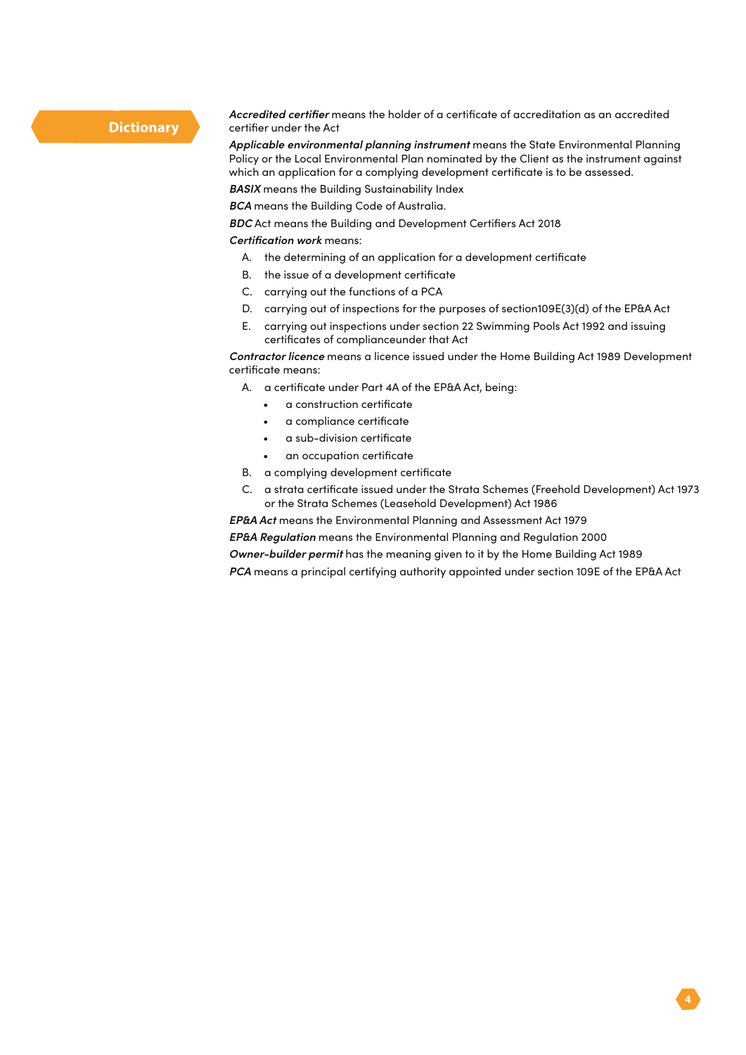## **Dictionary**

*Accredited certifier* means the holder of a certificate of accreditation as an accredited certifier under the Act

*Applicable environmental planning instrument* means the State Environmental Planning Policy or the Local Environmental Plan nominated by the Client as the instrument against which an application for a complying development certificate is to be assessed.

*BASIX* means the Building Sustainability Index

*BCA* means the Building Code of Australia.

*BDC* Act means the Building and Development Certifiers Act 2018

*Certification work* means:

- A. the determining of an application for a development certificate
- B. the issue of a development certificate
- C. carrying out the functions of a PCA
- D. carrying out of inspections for the purposes of section109E(3)(d) of the EP&A Act
- E. carrying out inspections under section 22 Swimming Pools Act 1992 and issuing certificates of complianceunder that Act

*Contractor licence* means a licence issued under the Home Building Act 1989 Development certificate means:

- A. a certificate under Part 4A of the EP&A Act, being:
	- a construction certificate
	- a compliance certificate
	- a sub-division certificate
	- an occupation certificate
- B. a complying development certificate
- C. a strata certificate issued under the Strata Schemes (Freehold Development) Act 1973 or the Strata Schemes (Leasehold Development) Act 1986

*EP&A Act* means the Environmental Planning and Assessment Act 1979

*EP&A Regulation* means the Environmental Planning and Regulation 2000

*Owner-builder permit* has the meaning given to it by the Home Building Act 1989

*PCA* means a principal certifying authority appointed under section 109E of the EP&A Act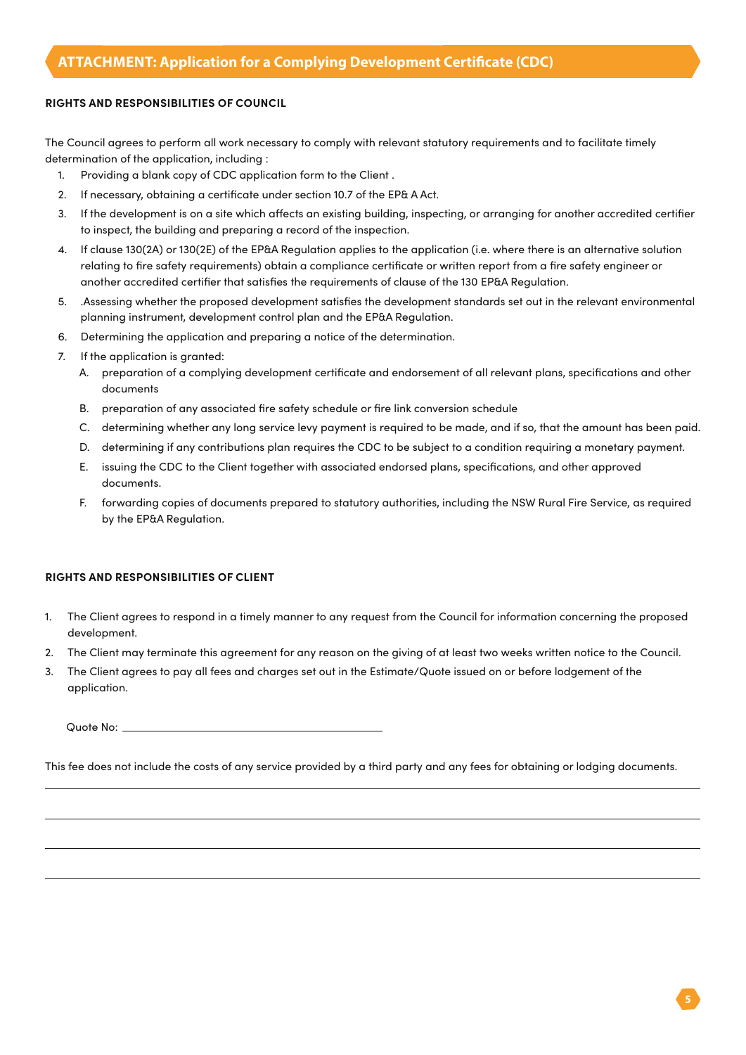The Council agrees to perform all work necessary to comply with relevant statutory requirements and to facilitate timely determination of the application, including :

- 1. Providing a blank copy of CDC application form to the Client .
- 2. If necessary, obtaining a certificate under section 10.7 of the EP& A Act.
- 3. If the development is on a site which affects an existing building, inspecting, or arranging for another accredited certifier to inspect, the building and preparing a record of the inspection.
- 4. If clause 130(2A) or 130(2E) of the EP&A Regulation applies to the application (i.e. where there is an alternative solution relating to fire safety requirements) obtain a compliance certificate or written report from a fire safety engineer or another accredited certifier that satisfies the requirements of clause of the 130 EP&A Regulation.
- 5. .Assessing whether the proposed development satisfies the development standards set out in the relevant environmental planning instrument, development control plan and the EP&A Regulation.
- 6. Determining the application and preparing a notice of the determination.
- 7. If the application is granted:
	- A. preparation of a complying development certificate and endorsement of all relevant plans, specifications and other documents
	- B. preparation of any associated fire safety schedule or fire link conversion schedule
	- C. determining whether any long service levy payment is required to be made, and if so, that the amount has been paid.
	- D. determining if any contributions plan requires the CDC to be subject to a condition requiring a monetary payment.
	- E. issuing the CDC to the Client together with associated endorsed plans, specifications, and other approved documents.
	- F. forwarding copies of documents prepared to statutory authorities, including the NSW Rural Fire Service, as required by the EP&A Regulation.

#### **RIGHTS AND RESPONSIBILITIES OF CLIENT**

- 1. The Client agrees to respond in a timely manner to any request from the Council for information concerning the proposed development.
- 2. The Client may terminate this agreement for any reason on the giving of at least two weeks written notice to the Council.
- 3. The Client agrees to pay all fees and charges set out in the Estimate/Quote issued on or before lodgement of the application.

| Quote No: |  |
|-----------|--|
|           |  |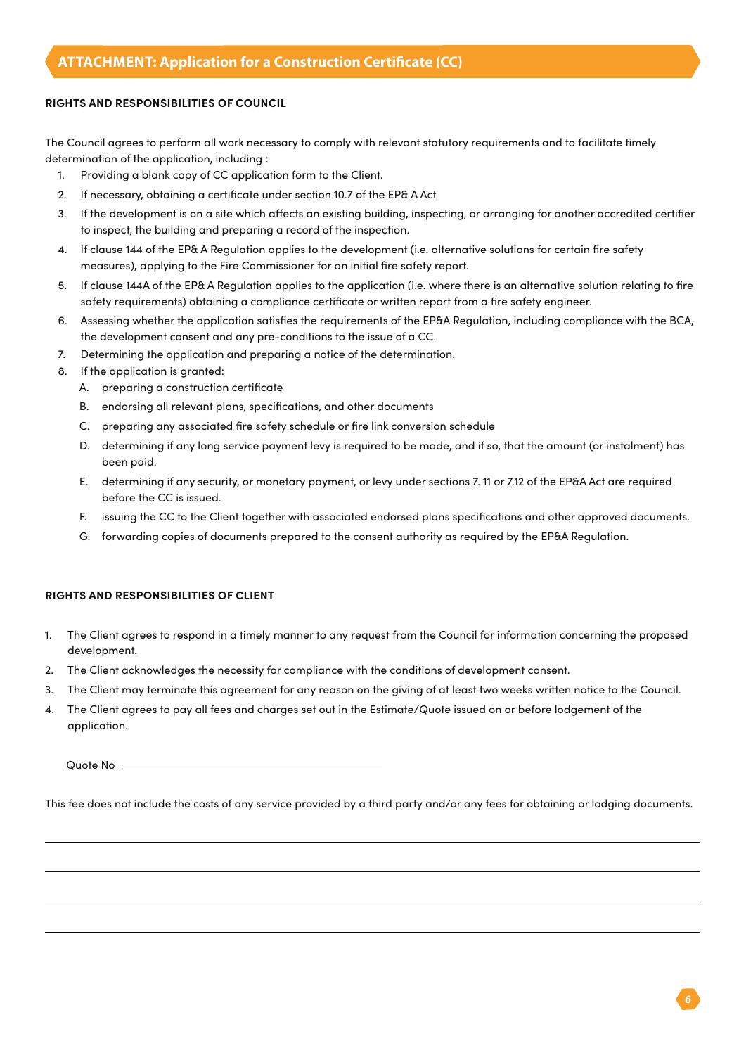The Council agrees to perform all work necessary to comply with relevant statutory requirements and to facilitate timely determination of the application, including :

- 1. Providing a blank copy of CC application form to the Client.
- 2. If necessary, obtaining a certificate under section 10.7 of the EP& A Act
- 3. If the development is on a site which affects an existing building, inspecting, or arranging for another accredited certifier to inspect, the building and preparing a record of the inspection.
- 4. If clause 144 of the EP& A Regulation applies to the development (i.e. alternative solutions for certain fire safety measures), applying to the Fire Commissioner for an initial fire safety report.
- 5. If clause 144A of the EP& A Regulation applies to the application (i.e. where there is an alternative solution relating to fire safety requirements) obtaining a compliance certificate or written report from a fire safety engineer.
- 6. Assessing whether the application satisfies the requirements of the EP&A Regulation, including compliance with the BCA, the development consent and any pre-conditions to the issue of a CC.
- 7. Determining the application and preparing a notice of the determination.
- 8. If the application is granted:
	- A. preparing a construction certificate
	- B. endorsing all relevant plans, specifications, and other documents
	- C. preparing any associated fire safety schedule or fire link conversion schedule
	- D. determining if any long service payment levy is required to be made, and if so, that the amount (or instalment) has been paid.
	- E. determining if any security, or monetary payment, or levy under sections 7. 11 or 7.12 of the EP&A Act are required before the CC is issued.
	- F. issuing the CC to the Client together with associated endorsed plans specifications and other approved documents.
	- G. forwarding copies of documents prepared to the consent authority as required by the EP&A Regulation.

#### **RIGHTS AND RESPONSIBILITIES OF CLIENT**

- 1. The Client agrees to respond in a timely manner to any request from the Council for information concerning the proposed development.
- 2. The Client acknowledges the necessity for compliance with the conditions of development consent.
- 3. The Client may terminate this agreement for any reason on the giving of at least two weeks written notice to the Council.
- 4. The Client agrees to pay all fees and charges set out in the Estimate/Quote issued on or before lodgement of the application.

Quote No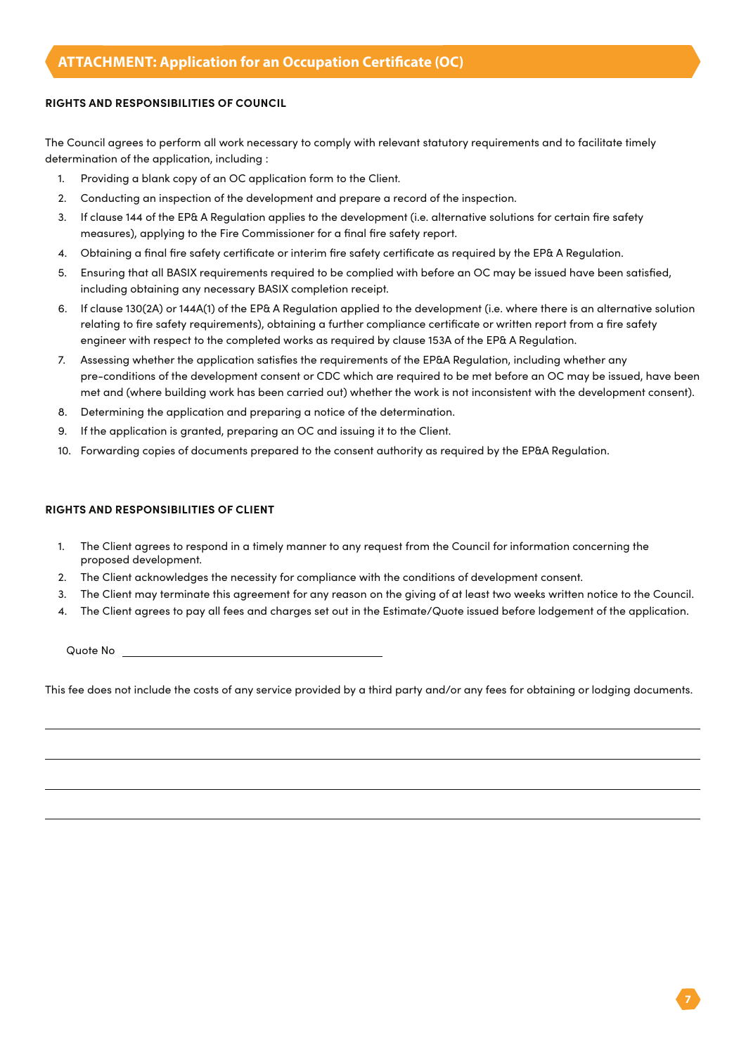The Council agrees to perform all work necessary to comply with relevant statutory requirements and to facilitate timely determination of the application, including :

- 1. Providing a blank copy of an OC application form to the Client.
- 2. Conducting an inspection of the development and prepare a record of the inspection.
- 3. If clause 144 of the EP& A Regulation applies to the development (i.e. alternative solutions for certain fire safety measures), applying to the Fire Commissioner for a final fire safety report.
- 4. Obtaining a final fire safety certificate or interim fire safety certificate as required by the EP& A Regulation.
- 5. Ensuring that all BASIX requirements required to be complied with before an OC may be issued have been satisfied, including obtaining any necessary BASIX completion receipt.
- 6. If clause 130(2A) or 144A(1) of the EP& A Regulation applied to the development (i.e. where there is an alternative solution relating to fire safety requirements), obtaining a further compliance certificate or written report from a fire safety engineer with respect to the completed works as required by clause 153A of the EP& A Regulation.
- 7. Assessing whether the application satisfies the requirements of the EP&A Regulation, including whether any pre-conditions of the development consent or CDC which are required to be met before an OC may be issued, have been met and (where building work has been carried out) whether the work is not inconsistent with the development consent).
- 8. Determining the application and preparing a notice of the determination.
- 9. If the application is granted, preparing an OC and issuing it to the Client.
- 10. Forwarding copies of documents prepared to the consent authority as required by the EP&A Regulation.

#### **RIGHTS AND RESPONSIBILITIES OF CLIENT**

- 1. The Client agrees to respond in a timely manner to any request from the Council for information concerning the proposed development.
- 2. The Client acknowledges the necessity for compliance with the conditions of development consent.
- 3. The Client may terminate this agreement for any reason on the giving of at least two weeks written notice to the Council.
- 4. The Client agrees to pay all fees and charges set out in the Estimate/Quote issued before lodgement of the application.

Quote No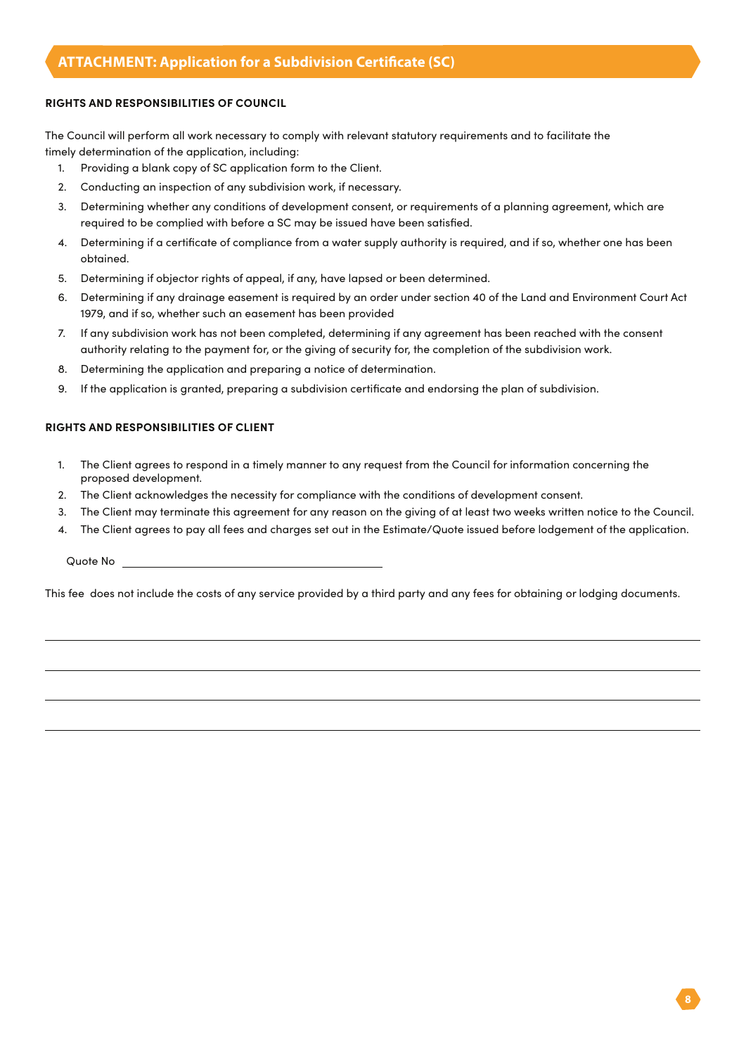The Council will perform all work necessary to comply with relevant statutory requirements and to facilitate the timely determination of the application, including:

- 1. Providing a blank copy of SC application form to the Client.
- 2. Conducting an inspection of any subdivision work, if necessary.
- 3. Determining whether any conditions of development consent, or requirements of a planning agreement, which are required to be complied with before a SC may be issued have been satisfied.
- 4. Determining if a certificate of compliance from a water supply authority is required, and if so, whether one has been obtained.
- 5. Determining if objector rights of appeal, if any, have lapsed or been determined.
- 6. Determining if any drainage easement is required by an order under section 40 of the Land and Environment Court Act 1979, and if so, whether such an easement has been provided
- 7. If any subdivision work has not been completed, determining if any agreement has been reached with the consent authority relating to the payment for, or the giving of security for, the completion of the subdivision work.
- 8. Determining the application and preparing a notice of determination.
- 9. If the application is granted, preparing a subdivision certificate and endorsing the plan of subdivision.

#### **RIGHTS AND RESPONSIBILITIES OF CLIENT**

- 1. The Client agrees to respond in a timely manner to any request from the Council for information concerning the proposed development.
- 2. The Client acknowledges the necessity for compliance with the conditions of development consent.
- 3. The Client may terminate this agreement for any reason on the giving of at least two weeks written notice to the Council.
- 4. The Client agrees to pay all fees and charges set out in the Estimate/Quote issued before lodgement of the application.

Quote No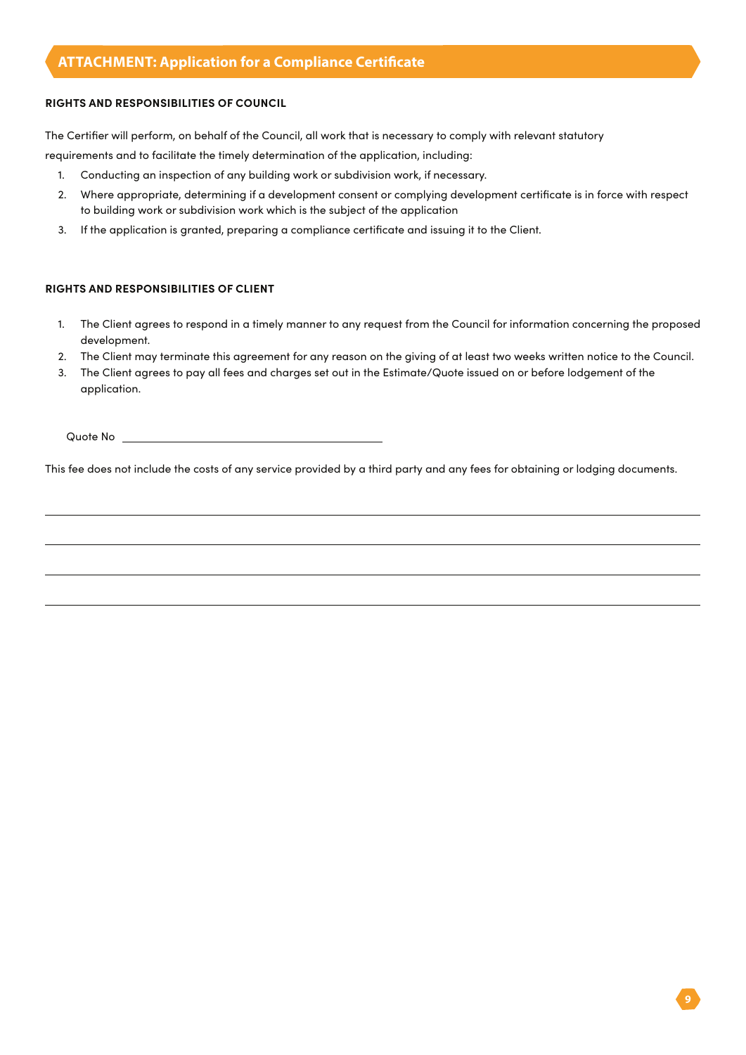# **ATTACHMENT: Application for a Compliance Certificate**

### **RIGHTS AND RESPONSIBILITIES OF COUNCIL**

The Certifier will perform, on behalf of the Council, all work that is necessary to comply with relevant statutory

requirements and to facilitate the timely determination of the application, including:

- 1. Conducting an inspection of any building work or subdivision work, if necessary.
- 2. Where appropriate, determining if a development consent or complying development certificate is in force with respect to building work or subdivision work which is the subject of the application
- 3. If the application is granted, preparing a compliance certificate and issuing it to the Client.

#### **RIGHTS AND RESPONSIBILITIES OF CLIENT**

- 1. The Client agrees to respond in a timely manner to any request from the Council for information concerning the proposed development.
- 2. The Client may terminate this agreement for any reason on the giving of at least two weeks written notice to the Council.
- 3. The Client agrees to pay all fees and charges set out in the Estimate/Quote issued on or before lodgement of the application.

Quote No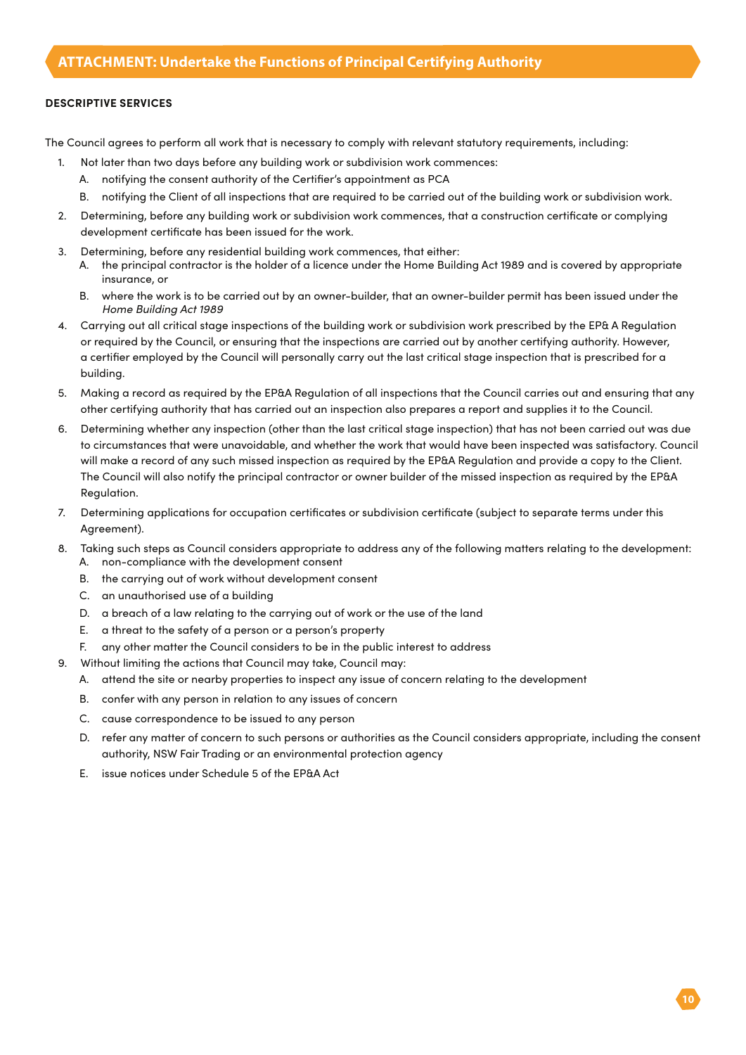#### **DESCRIPTIVE SERVICES**

The Council agrees to perform all work that is necessary to comply with relevant statutory requirements, including:

- 1. Not later than two days before any building work or subdivision work commences:
	- A. notifying the consent authority of the Certifier's appointment as PCA
	- B. notifying the Client of all inspections that are required to be carried out of the building work or subdivision work.
- 2. Determining, before any building work or subdivision work commences, that a construction certificate or complying development certificate has been issued for the work.
- 3. Determining, before any residential building work commences, that either:
	- A. the principal contractor is the holder of a licence under the Home Building Act 1989 and is covered by appropriate insurance, or
	- B. where the work is to be carried out by an owner-builder, that an owner-builder permit has been issued under the *Home Building Act 1989*
- 4. Carrying out all critical stage inspections of the building work or subdivision work prescribed by the EP& A Regulation or required by the Council, or ensuring that the inspections are carried out by another certifying authority. However, a certifier employed by the Council will personally carry out the last critical stage inspection that is prescribed for a building.
- 5. Making a record as required by the EP&A Regulation of all inspections that the Council carries out and ensuring that any other certifying authority that has carried out an inspection also prepares a report and supplies it to the Council.
- 6. Determining whether any inspection (other than the last critical stage inspection) that has not been carried out was due to circumstances that were unavoidable, and whether the work that would have been inspected was satisfactory. Council will make a record of any such missed inspection as required by the EP&A Regulation and provide a copy to the Client. The Council will also notify the principal contractor or owner builder of the missed inspection as required by the EP&A Regulation.
- 7. Determining applications for occupation certificates or subdivision certificate (subject to separate terms under this Agreement).
- 8. Taking such steps as Council considers appropriate to address any of the following matters relating to the development: A. non-compliance with the development consent
	- B. the carrying out of work without development consent
	- C. an unauthorised use of a building
	- D. a breach of a law relating to the carrying out of work or the use of the land
	- E. a threat to the safety of a person or a person's property
	- F. any other matter the Council considers to be in the public interest to address
- 9. Without limiting the actions that Council may take, Council may:
	- A. attend the site or nearby properties to inspect any issue of concern relating to the development
	- B. confer with any person in relation to any issues of concern
	- C. cause correspondence to be issued to any person
	- D. refer any matter of concern to such persons or authorities as the Council considers appropriate, including the consent authority, NSW Fair Trading or an environmental protection agency
	- E. issue notices under Schedule 5 of the EP&A Act